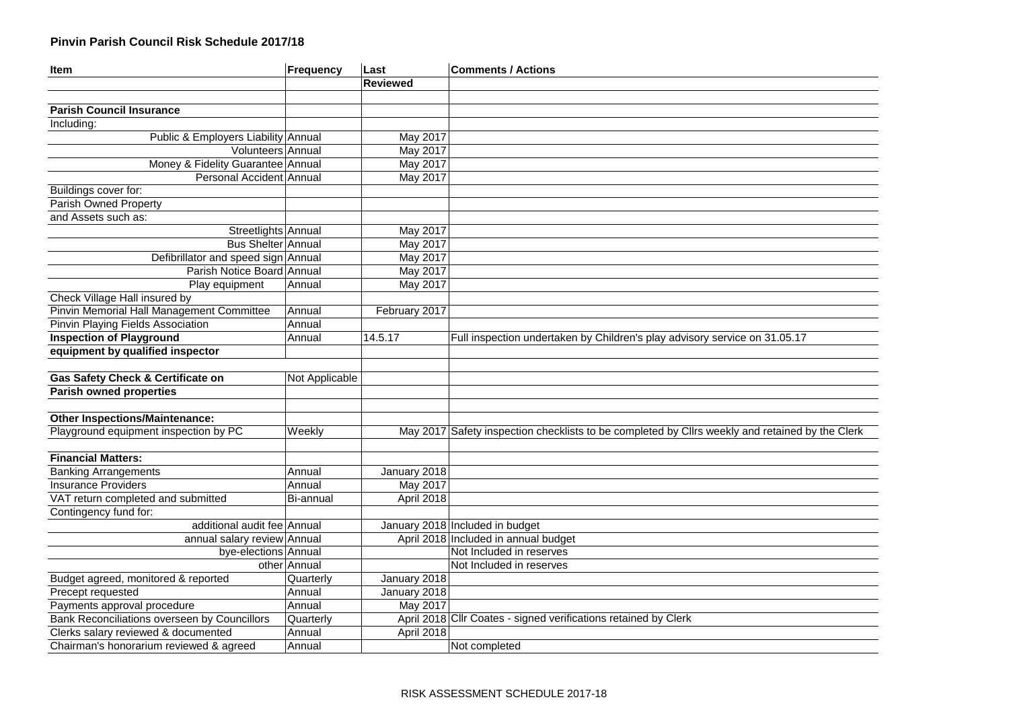## **Pinvin Parish Council Risk Schedule 2017/18**

| Item                                                | Frequency      | Last            | <b>Comments / Actions</b>                                                                       |
|-----------------------------------------------------|----------------|-----------------|-------------------------------------------------------------------------------------------------|
|                                                     |                | <b>Reviewed</b> |                                                                                                 |
|                                                     |                |                 |                                                                                                 |
| <b>Parish Council Insurance</b>                     |                |                 |                                                                                                 |
| Including:                                          |                |                 |                                                                                                 |
| Public & Employers Liability Annual                 |                | May 2017        |                                                                                                 |
| Volunteers Annual                                   |                | <b>May 2017</b> |                                                                                                 |
| Money & Fidelity Guarantee Annual                   |                | May 2017        |                                                                                                 |
| Personal Accident Annual                            |                | <b>May 2017</b> |                                                                                                 |
| Buildings cover for:                                |                |                 |                                                                                                 |
| Parish Owned Property                               |                |                 |                                                                                                 |
| and Assets such as:                                 |                |                 |                                                                                                 |
| Streetlights Annual                                 |                | May 2017        |                                                                                                 |
| <b>Bus Shelter Annual</b>                           |                | <b>May 2017</b> |                                                                                                 |
| Defibrillator and speed sign Annual                 |                | May 2017        |                                                                                                 |
| Parish Notice Board Annual                          |                | May 2017        |                                                                                                 |
| Play equipment                                      | Annual         | May 2017        |                                                                                                 |
| Check Village Hall insured by                       |                |                 |                                                                                                 |
| Pinvin Memorial Hall Management Committee           | Annual         | February 2017   |                                                                                                 |
| Pinvin Playing Fields Association                   | Annual         |                 |                                                                                                 |
| <b>Inspection of Playground</b>                     | Annual         | 14.5.17         | Full inspection undertaken by Children's play advisory service on 31.05.17                      |
| equipment by qualified inspector                    |                |                 |                                                                                                 |
|                                                     |                |                 |                                                                                                 |
| <b>Gas Safety Check &amp; Certificate on</b>        | Not Applicable |                 |                                                                                                 |
| <b>Parish owned properties</b>                      |                |                 |                                                                                                 |
|                                                     |                |                 |                                                                                                 |
| <b>Other Inspections/Maintenance:</b>               |                |                 |                                                                                                 |
| Playground equipment inspection by PC               | Weekly         |                 | May 2017 Safety inspection checklists to be completed by Cllrs weekly and retained by the Clerk |
|                                                     |                |                 |                                                                                                 |
| <b>Financial Matters:</b>                           |                |                 |                                                                                                 |
| <b>Banking Arrangements</b>                         | Annual         | January 2018    |                                                                                                 |
| <b>Insurance Providers</b>                          | Annual         | <b>May 2017</b> |                                                                                                 |
| VAT return completed and submitted                  | Bi-annual      | April 2018      |                                                                                                 |
| Contingency fund for:                               |                |                 |                                                                                                 |
| additional audit fee Annual                         |                |                 | January 2018 Included in budget                                                                 |
| annual salary review Annual                         |                |                 | April 2018 Included in annual budget                                                            |
| bye-elections Annual                                |                |                 | Not Included in reserves                                                                        |
|                                                     | other Annual   |                 | Not Included in reserves                                                                        |
| Budget agreed, monitored & reported                 | Quarterly      | January 2018    |                                                                                                 |
| Precept requested                                   | Annual         | January 2018    |                                                                                                 |
| Payments approval procedure                         | Annual         | <b>May 2017</b> |                                                                                                 |
| <b>Bank Reconciliations overseen by Councillors</b> | Quarterly      |                 | April 2018 Cllr Coates - signed verifications retained by Clerk                                 |
| Clerks salary reviewed & documented                 | Annual         | April 2018      |                                                                                                 |
| Chairman's honorarium reviewed & agreed             | Annual         |                 | Not completed                                                                                   |